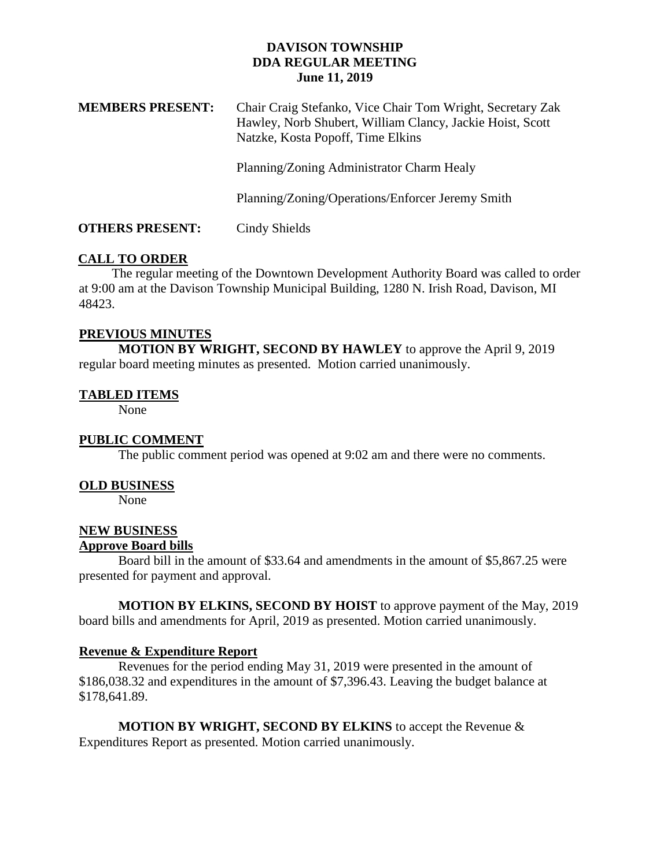## **DAVISON TOWNSHIP DDA REGULAR MEETING June 11, 2019**

| <b>MEMBERS PRESENT:</b> | Chair Craig Stefanko, Vice Chair Tom Wright, Secretary Zak<br>Hawley, Norb Shubert, William Clancy, Jackie Hoist, Scott<br>Natzke, Kosta Popoff, Time Elkins |
|-------------------------|--------------------------------------------------------------------------------------------------------------------------------------------------------------|
|                         | Planning/Zoning Administrator Charm Healy                                                                                                                    |
|                         | Planning/Zoning/Operations/Enforcer Jeremy Smith                                                                                                             |
| <b>OTHERS PRESENT:</b>  | Cindy Shields                                                                                                                                                |

# **CALL TO ORDER**

 The regular meeting of the Downtown Development Authority Board was called to order at 9:00 am at the Davison Township Municipal Building, 1280 N. Irish Road, Davison, MI 48423.

## **PREVIOUS MINUTES**

**MOTION BY WRIGHT, SECOND BY HAWLEY** to approve the April 9, 2019 regular board meeting minutes as presented. Motion carried unanimously.

## **TABLED ITEMS**

None

## **PUBLIC COMMENT**

The public comment period was opened at 9:02 am and there were no comments.

## **OLD BUSINESS**

None

## **NEW BUSINESS Approve Board bills**

Board bill in the amount of \$33.64 and amendments in the amount of \$5,867.25 were presented for payment and approval.

**MOTION BY ELKINS, SECOND BY HOIST** to approve payment of the May, 2019 board bills and amendments for April, 2019 as presented. Motion carried unanimously.

## **Revenue & Expenditure Report**

Revenues for the period ending May 31, 2019 were presented in the amount of \$186,038.32 and expenditures in the amount of \$7,396.43. Leaving the budget balance at \$178,641.89.

**MOTION BY WRIGHT, SECOND BY ELKINS** to accept the Revenue & Expenditures Report as presented. Motion carried unanimously.